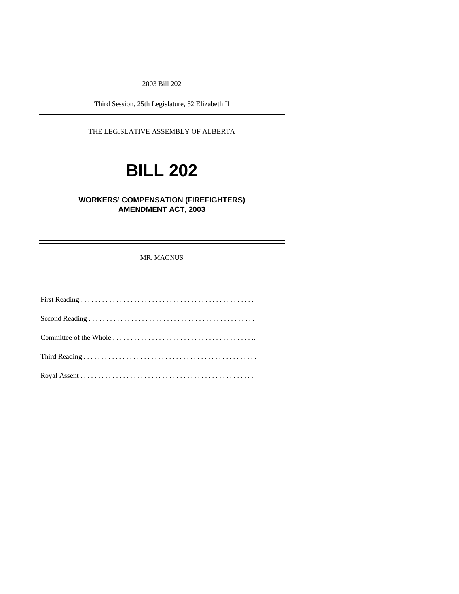2003 Bill 202

Third Session, 25th Legislature, 52 Elizabeth II

THE LEGISLATIVE ASSEMBLY OF ALBERTA

# **BILL 202**

### **WORKERS' COMPENSATION (FIREFIGHTERS) AMENDMENT ACT, 2003**

MR. MAGNUS

Ξ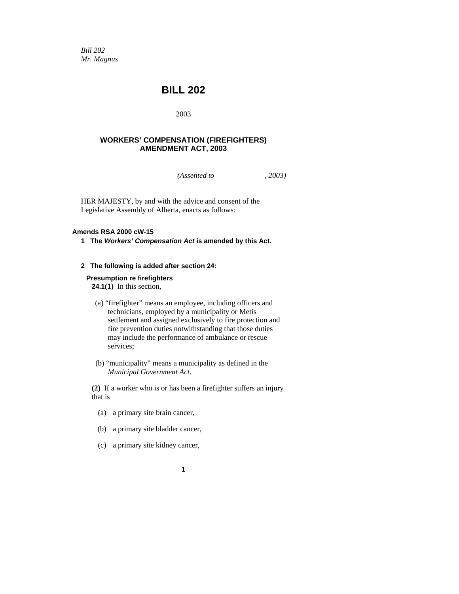*Bill 202 Mr. Magnus* 

## **BILL 202**

2003

#### **WORKERS' COMPENSATION (FIREFIGHTERS) AMENDMENT ACT, 2003**

*(Assented to , 2003)* 

HER MAJESTY, by and with the advice and consent of the Legislative Assembly of Alberta, enacts as follows:

#### **Amends RSA 2000 cW-15**

**1 The** *Workers' Compensation Act* **is amended by this Act.** 

#### **2 The following is added after section 24:**

#### **Presumption re firefighters**

**24.1(1)** In this section,

- (a) "firefighter" means an employee, including officers and technicians, employed by a municipality or Metis settlement and assigned exclusively to fire protection and fire prevention duties notwithstanding that those duties may include the performance of ambulance or rescue services;
- (b) "municipality" means a municipality as defined in the *Municipal Government Act*.

**(2)** If a worker who is or has been a firefighter suffers an injury that is

- (a) a primary site brain cancer,
- (b) a primary site bladder cancer,
- (c) a primary site kidney cancer,
	- **1**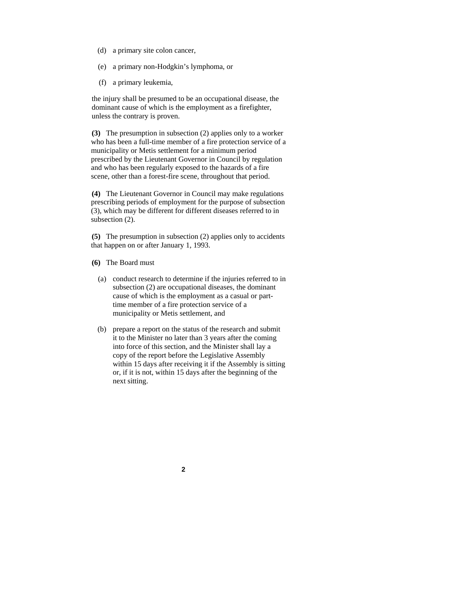- (d) a primary site colon cancer,
- (e) a primary non-Hodgkin's lymphoma, or
- (f) a primary leukemia,

the injury shall be presumed to be an occupational disease, the dominant cause of which is the employment as a firefighter, unless the contrary is proven.

**(3)** The presumption in subsection (2) applies only to a worker who has been a full-time member of a fire protection service of a municipality or Metis settlement for a minimum period prescribed by the Lieutenant Governor in Council by regulation and who has been regularly exposed to the hazards of a fire scene, other than a forest-fire scene, throughout that period.

**(4)** The Lieutenant Governor in Council may make regulations prescribing periods of employment for the purpose of subsection (3), which may be different for different diseases referred to in subsection (2).

**(5)** The presumption in subsection (2) applies only to accidents that happen on or after January 1, 1993.

- **(6)** The Board must
	- (a) conduct research to determine if the injuries referred to in subsection (2) are occupational diseases, the dominant cause of which is the employment as a casual or parttime member of a fire protection service of a municipality or Metis settlement, and
	- (b) prepare a report on the status of the research and submit it to the Minister no later than 3 years after the coming into force of this section, and the Minister shall lay a copy of the report before the Legislative Assembly within 15 days after receiving it if the Assembly is sitting or, if it is not, within 15 days after the beginning of the next sitting.

**2**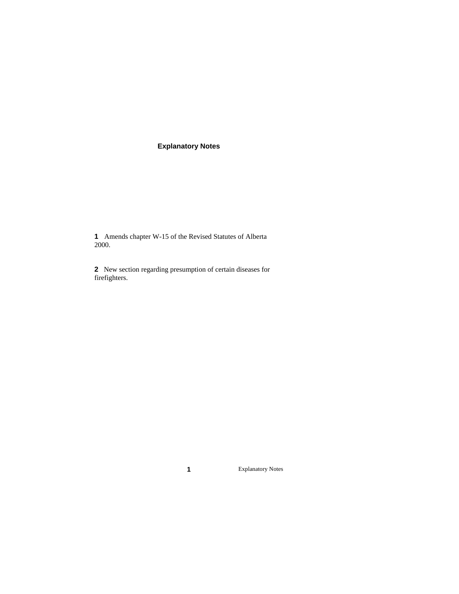## **Explanatory Notes**

**1** Amends chapter W-15 of the Revised Statutes of Alberta 2000.

**2** New section regarding presumption of certain diseases for firefighters.

**1** Explanatory Notes